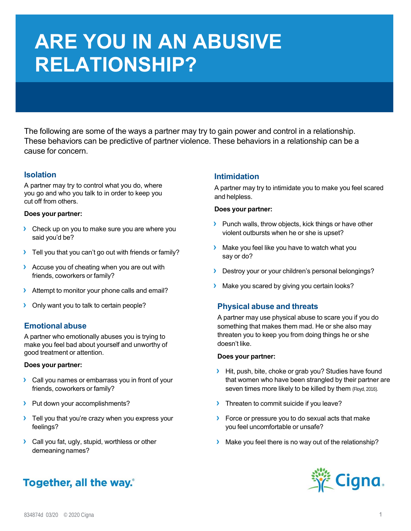# **ARE YOU IN AN ABUSIVE RELATIONSHIP?**

The following are some of the ways a partner may try to gain power and control in a relationship. These behaviors can be predictive of partner violence. These behaviors in a relationship can be a cause for concern.

# **Isolation**

A partner may try to control what you do, where you go and who you talk to in order to keep you cut off from others.

#### **Does your partner:**

- **›** Check up on you to make sure you are where you said you'd be?
- **›** Tell you that you can't go out with friends or family?
- **›** Accuse you of cheating when you are out with friends, coworkers or family?
- **›** Attempt to monitor your phone calls and email?
- **›** Only want you to talk to certain people?

# **Emotional abuse**

A partner who emotionally abuses you is trying to make you feel bad about yourself and unworthy of good treatment or attention.

#### **Does your partner:**

- **›** Call you names or embarrass you in front of your friends, coworkers or family?
- **›** Put down your accomplishments?
- **›** Tell you that you're crazy when you express your feelings?
- **›** Call you fat, ugly, stupid, worthless or other demeaning names?

# Together, all the way.

# **Intimidation**

A partner may try to intimidate you to make you feel scared and helpless.

#### **Does your partner:**

- **›** Punch walls, throw objects, kick things or have other violent outbursts when he or she is upset?
- **›** Make you feel like you have to watch what you say or do?
- **›** Destroy your or your children's personal belongings?
- **›** Make you scared by giving you certain looks?

# **Physical abuse and threats**

A partner may use physical abuse to scare you if you do something that makes them mad. He or she also may threaten you to keep you from doing things he or she doesn't like.

#### **Does your partner:**

- **›** Hit, push, bite, choke or grab you? Studies have found that women who have been strangled by their partner are seven times more likely to be killed by them (Floyd, 2016).
- **›** Threaten to commit suicide if you leave?
- **›** Force or pressure you to do sexual acts that make you feel uncomfortable or unsafe?
- **›** Make you feel there is no way out of the relationship?